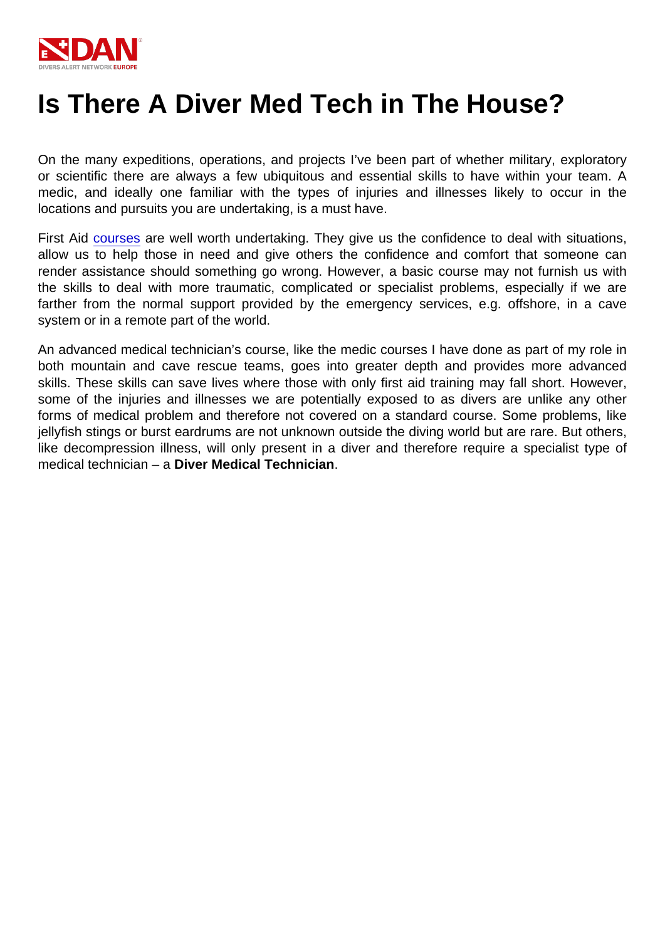# Is There A Diver Med Tech in The House?

On the many expeditions, operations, and projects I've been part of whether military, exploratory or scientific there are always a few ubiquitous and essential skills to have within your team. A medic, and ideally one familiar with the types of injuries and illnesses likely to occur in the locations and pursuits you are undertaking, is a must have.

First Aid [courses](https://www.daneurope.org/en/education) are well worth undertaking. They give us the confidence to deal with situations, allow us to help those in need and give others the confidence and comfort that someone can render assistance should something go wrong. However, a basic course may not furnish us with the skills to deal with more traumatic, complicated or specialist problems, especially if we are farther from the normal support provided by the emergency services, e.g. offshore, in a cave system or in a remote part of the world.

An advanced medical technician's course, like the medic courses I have done as part of my role in both mountain and cave rescue teams, goes into greater depth and provides more advanced skills. These skills can save lives where those with only first aid training may fall short. However, some of the injuries and illnesses we are potentially exposed to as divers are unlike any other forms of medical problem and therefore not covered on a standard course. Some problems, like jellyfish stings or burst eardrums are not unknown outside the diving world but are rare. But others, like decompression illness, will only present in a diver and therefore require a specialist type of medical technician – a Diver Medical Technician .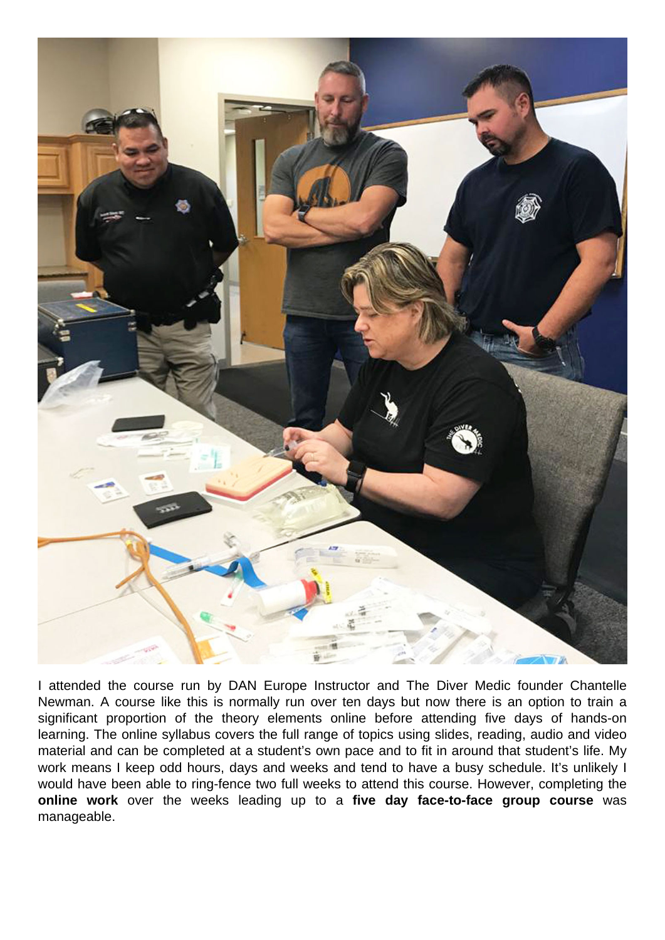

I attended the course run by DAN Europe Instructor and The Diver Medic founder Chantelle Newman. A course like this is normally run over ten days but now there is an option to train a significant proportion of the theory elements online before attending five days of hands-on learning. The online syllabus covers the full range of topics using slides, reading, audio and video material and can be completed at a student's own pace and to fit in around that student's life. My work means I keep odd hours, days and weeks and tend to have a busy schedule. It's unlikely I would have been able to ring-fence two full weeks to attend this course. However, completing the **online work** over the weeks leading up to a **five day face-to-face group course** was manageable.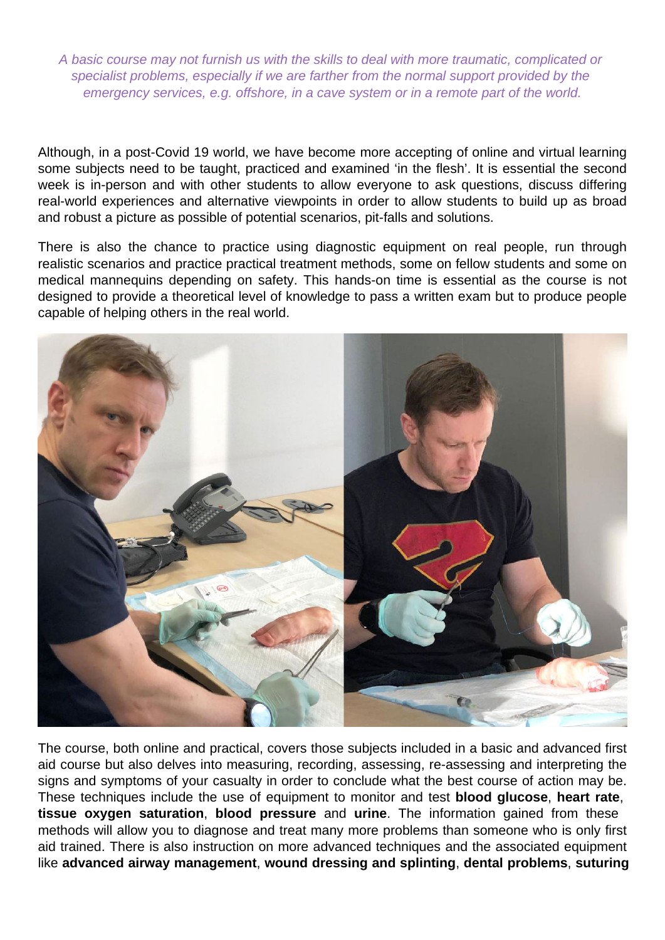A basic course may not furnish us with the skills to deal with more traumatic, complicated or specialist problems, especially if we are farther from the normal support provided by the emergency services, e.g. offshore, in a cave system or in a remote part of the world.

Although, in a post-Covid 19 world, we have become more accepting of online and virtual learning some subjects need to be taught, practiced and examined 'in the flesh'. It is essential the second week is in-person and with other students to allow everyone to ask questions, discuss differing real-world experiences and alternative viewpoints in order to allow students to build up as broad and robust a picture as possible of potential scenarios, pit-falls and solutions.

There is also the chance to practice using diagnostic equipment on real people, run through realistic scenarios and practice practical treatment methods, some on fellow students and some on medical mannequins depending on safety. This hands-on time is essential as the course is not designed to provide a theoretical level of knowledge to pass a written exam but to produce people capable of helping others in the real world.



The course, both online and practical, covers those subjects included in a basic and advanced first aid course but also delves into measuring, recording, assessing, re-assessing and interpreting the signs and symptoms of your casualty in order to conclude what the best course of action may be. These techniques include the use of equipment to monitor and test **blood glucose**, **heart rate**, **tissue oxygen saturation**, **blood pressure** and **urine**. The information gained from these methods will allow you to diagnose and treat many more problems than someone who is only first aid trained. There is also instruction on more advanced techniques and the associated equipment like **advanced airway management**, **wound dressing and splinting**, **dental problems**, **suturing**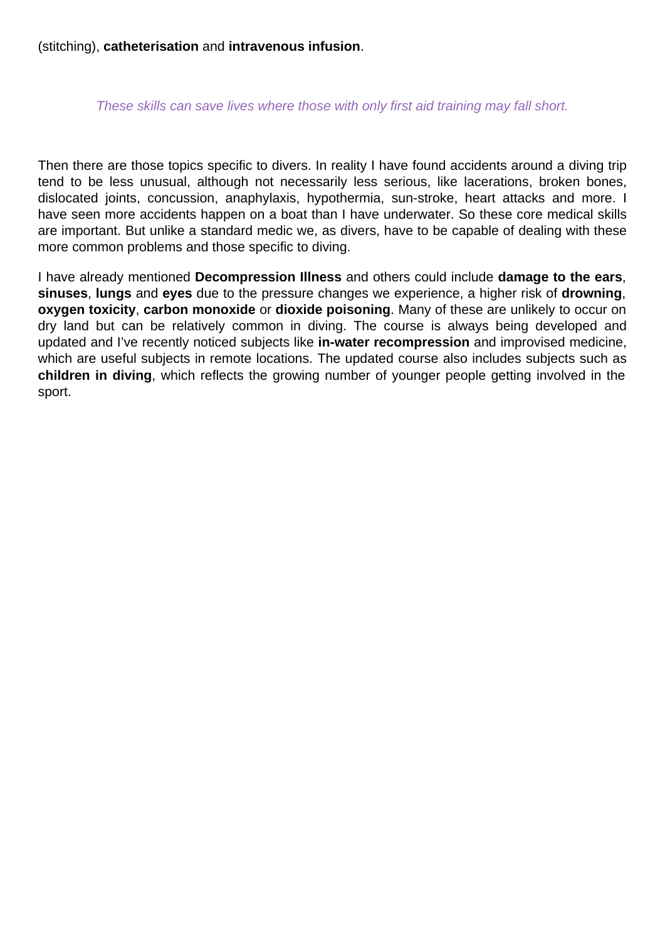(stitching), **catheterisation** and **intravenous infusion**.

### These skills can save lives where those with only first aid training may fall short.

Then there are those topics specific to divers. In reality I have found accidents around a diving trip tend to be less unusual, although not necessarily less serious, like lacerations, broken bones, dislocated joints, concussion, anaphylaxis, hypothermia, sun-stroke, heart attacks and more. I have seen more accidents happen on a boat than I have underwater. So these core medical skills are important. But unlike a standard medic we, as divers, have to be capable of dealing with these more common problems and those specific to diving.

I have already mentioned **Decompression Illness** and others could include **damage to the ears**, **sinuses**, **lungs** and **eyes** due to the pressure changes we experience, a higher risk of **drowning**, **oxygen toxicity**, **carbon monoxide** or **dioxide poisoning**. Many of these are unlikely to occur on dry land but can be relatively common in diving. The course is always being developed and updated and I've recently noticed subjects like **in-water recompression** and improvised medicine, which are useful subjects in remote locations. The updated course also includes subjects such as **children in diving**, which reflects the growing number of younger people getting involved in the sport.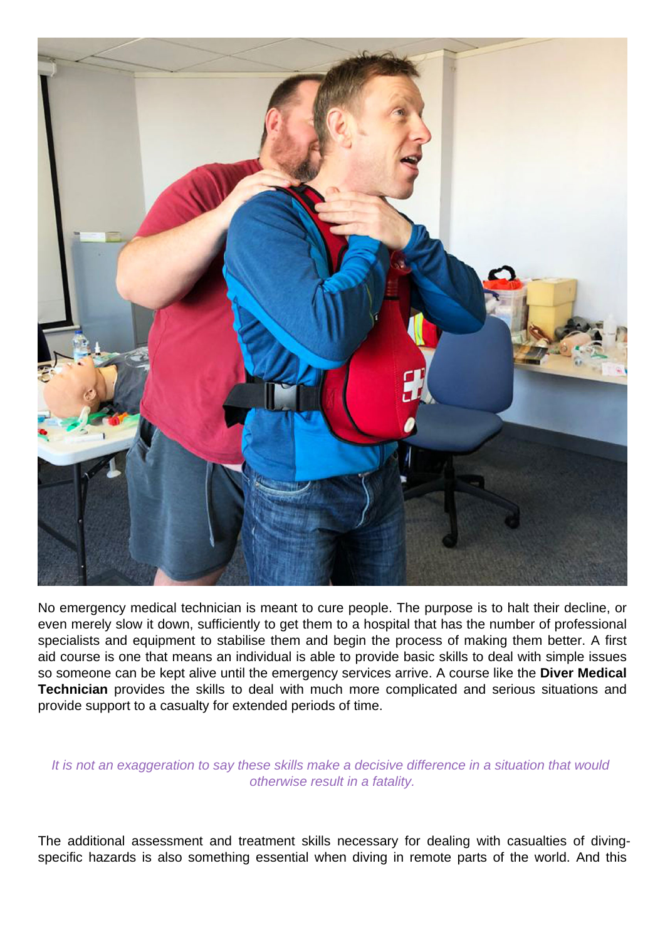

No emergency medical technician is meant to cure people. The purpose is to halt their decline, or even merely slow it down, sufficiently to get them to a hospital that has the number of professional specialists and equipment to stabilise them and begin the process of making them better. A first aid course is one that means an individual is able to provide basic skills to deal with simple issues so someone can be kept alive until the emergency services arrive. A course like the **Diver Medical Technician** provides the skills to deal with much more complicated and serious situations and provide support to a casualty for extended periods of time.

#### It is not an exaggeration to say these skills make a decisive difference in a situation that would otherwise result in a fatality.

The additional assessment and treatment skills necessary for dealing with casualties of divingspecific hazards is also something essential when diving in remote parts of the world. And this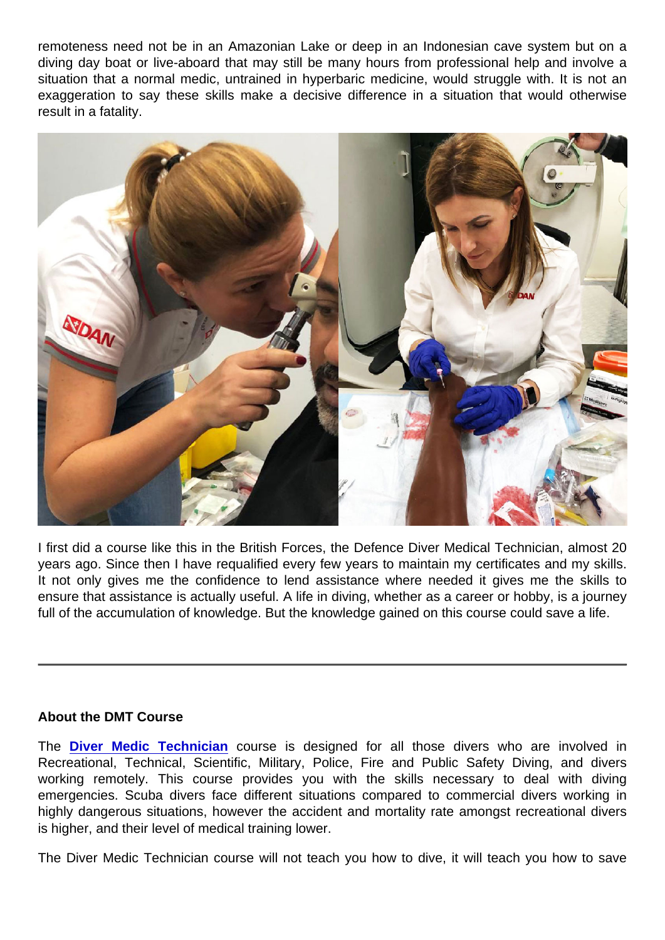remoteness need not be in an Amazonian Lake or deep in an Indonesian cave system but on a diving day boat or live-aboard that may still be many hours from professional help and involve a situation that a normal medic, untrained in hyperbaric medicine, would struggle with. It is not an exaggeration to say these skills make a decisive difference in a situation that would otherwise result in a fatality.

I first did a course like this in the British Forces, the Defence Diver Medical Technician, almost 20 years ago. Since then I have requalified every few years to maintain my certificates and my skills. It not only gives me the confidence to lend assistance where needed it gives me the skills to ensure that assistance is actually useful. A life in diving, whether as a career or hobby, is a journey full of the accumulation of knowledge. But the knowledge gained on this course could save a life.

## About the DMT Course

The Diver Medic Technician course will not teach you how to dive, it will teach you how to save

The [Diver Medic Technician](https://www.daneurope.org/en/-/diver-medical-technician-course) course is designed for all those divers who are involved in Recreational, Technical, Scientific, Military, Police, Fire and Public Safety Diving, and divers working remotely. This course provides you with the skills necessary to deal with diving emergencies. Scuba divers face different situations compared to commercial divers working in highly dangerous situations, however the accident and mortality rate amongst recreational divers is higher, and their level of medical training lower.